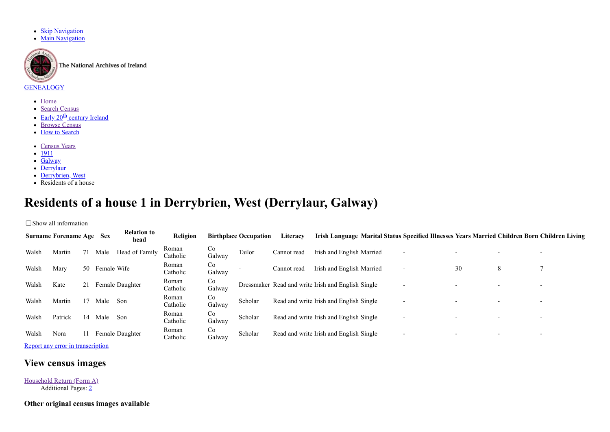- [Skip Navigation](#page-0-0)
- **[Main Navigation](#page-0-1)**



The National Archives of Ireland

## <span id="page-0-1"></span>**[GENEALOGY](http://www.genealogy.nationalarchives.ie/)**

- [Home](http://www.census.nationalarchives.ie/)
- [Search Census](http://www.census.nationalarchives.ie/search/)
- Early 20<sup>th</sup> [century Ireland](http://www.census.nationalarchives.ie/exhibition/index.html)
- [Browse Census](http://www.census.nationalarchives.ie/pages/)
- [How to Search](http://www.census.nationalarchives.ie/help/help.html)
- <span id="page-0-0"></span>[Census Years](http://www.census.nationalarchives.ie/pages/)
- [1911](http://www.census.nationalarchives.ie/pages/1911/)
- [Galway](http://www.census.nationalarchives.ie/pages/1911/Galway/)
- $\cdot$  [Derrylaur](http://www.census.nationalarchives.ie/pages/1911/Galway/Derrylaur/)
- [Derrybrien, West](http://www.census.nationalarchives.ie/pages/1911/Galway/Derrylaur/Derrybrien__West/)
- Residents of a house

## **Residents of a house 1 in Derrybrien, West (Derrylaur, Galway)**

□ Show all information

|       | <b>Surname Forename Age Sex</b> |    |             | <b>Relation to</b><br>head | Religion          |              | <b>Birthplace Occupation</b> | Literacy    |                                                    | Irish Language Marital Status Specified Illnesses Years Married Children Born Children Living |    |   |  |
|-------|---------------------------------|----|-------------|----------------------------|-------------------|--------------|------------------------------|-------------|----------------------------------------------------|-----------------------------------------------------------------------------------------------|----|---|--|
| Walsh | Martin                          | 71 | Male        | Head of Family             | Roman<br>Catholic | Co<br>Galway | Tailor                       | Cannot read | Irish and English Married                          | $\overline{\phantom{0}}$                                                                      |    |   |  |
| Walsh | Mary                            | 50 | Female Wife |                            | Roman<br>Catholic | Co<br>Galway |                              | Cannot read | Irish and English Married                          | $\overline{\phantom{0}}$                                                                      | 30 | 8 |  |
| Walsh | Kate                            | 21 |             | Female Daughter            | Roman<br>Catholic | Co<br>Galway |                              |             | Dressmaker Read and write Irish and English Single | $\overline{\phantom{a}}$                                                                      |    |   |  |
| Walsh | Martin                          | 17 | Male        | Son                        | Roman<br>Catholic | Co<br>Galway | Scholar                      |             | Read and write Irish and English Single            | $\overline{\phantom{a}}$                                                                      |    |   |  |
| Walsh | Patrick                         | 14 | Male        | Son                        | Roman<br>Catholic | Co<br>Galway | Scholar                      |             | Read and write Irish and English Single            | $\overline{\phantom{a}}$                                                                      |    |   |  |
| Walsh | Nora                            | 11 |             | Female Daughter            | Roman<br>Catholic | Co<br>Galway | Scholar                      |             | Read and write Irish and English Single            | $\overline{\phantom{a}}$                                                                      |    |   |  |

[Report any error in transcription](http://www.census.nationalarchives.ie/feedback/1911/Galway/Derrylaur/Derrybrien__West/465440/)

## **View census images**

[Household Return \(Form A\)](http://www.census.nationalarchives.ie/reels/nai002417209/) Additional Pages: [2](http://www.census.nationalarchives.ie/reels/nai002417210/)

**Other original census images available**